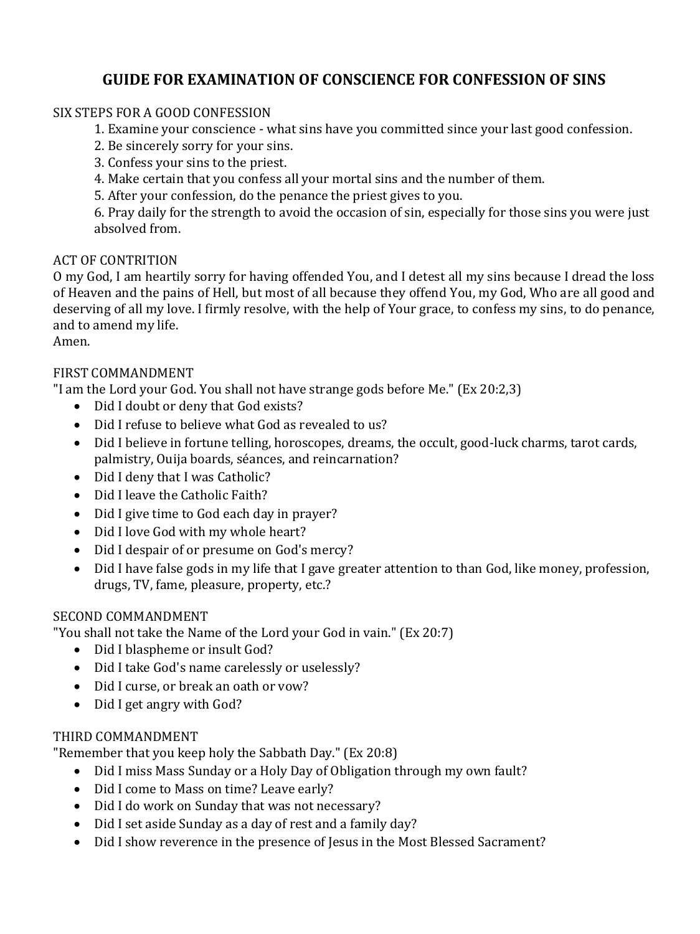# **GUIDE FOR EXAMINATION OF CONSCIENCE FOR CONFESSION OF SINS**

# SIX STEPS FOR A GOOD CONFESSION

- 1. Examine your conscience what sins have you committed since your last good confession.
- 2. Be sincerely sorry for your sins.
- 3. Confess your sins to the priest.
- 4. Make certain that you confess all your mortal sins and the number of them.
- 5. After your confession, do the penance the priest gives to you.

6. Pray daily for the strength to avoid the occasion of sin, especially for those sins you were just absolved from.

#### ACT OF CONTRITION

O my God, I am heartily sorry for having offended You, and I detest all my sins because I dread the loss of Heaven and the pains of Hell, but most of all because they offend You, my God, Who are all good and deserving of all my love. I firmly resolve, with the help of Your grace, to confess my sins, to do penance, and to amend my life.

Amen.

### FIRST COMMANDMENT

"I am the Lord your God. You shall not have strange gods before Me." (Ex 20:2,3)

- Did I doubt or deny that God exists?
- Did I refuse to believe what God as revealed to us?
- Did I believe in fortune telling, horoscopes, dreams, the occult, good-luck charms, tarot cards, palmistry, Ouija boards, séances, and reincarnation?
- Did I deny that I was Catholic?
- Did I leave the Catholic Faith?
- Did I give time to God each day in prayer?
- Did I love God with my whole heart?
- Did I despair of or presume on God's mercy?
- Did I have false gods in my life that I gave greater attention to than God, like money, profession, drugs, TV, fame, pleasure, property, etc.?

#### SECOND COMMANDMENT

"You shall not take the Name of the Lord your God in vain." (Ex 20:7)

- Did I blaspheme or insult God?
- Did I take God's name carelessly or uselessly?
- Did I curse, or break an oath or vow?
- Did I get angry with God?

#### THIRD COMMANDMENT

"Remember that you keep holy the Sabbath Day." (Ex 20:8)

- Did I miss Mass Sunday or a Holy Day of Obligation through my own fault?
- Did I come to Mass on time? Leave early?
- Did I do work on Sunday that was not necessary?
- Did I set aside Sunday as a day of rest and a family day?
- Did I show reverence in the presence of Jesus in the Most Blessed Sacrament?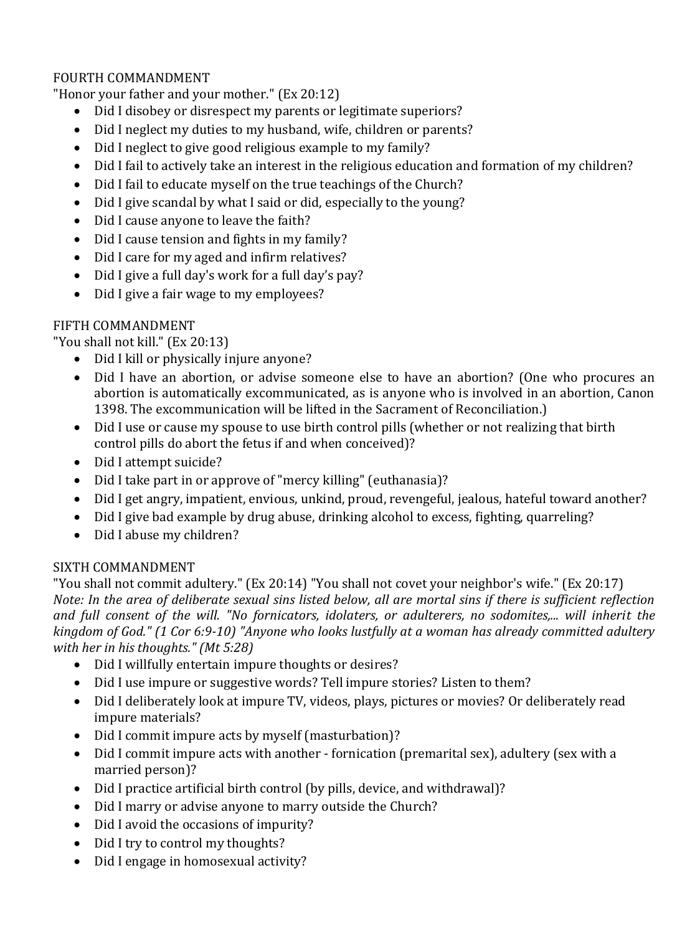# FOURTH COMMANDMENT

"Honor your father and your mother." (Ex 20:12)

- Did I disobey or disrespect my parents or legitimate superiors?
- Did I neglect my duties to my husband, wife, children or parents?
- Did I neglect to give good religious example to my family?
- Did I fail to actively take an interest in the religious education and formation of my children?
- Did I fail to educate myself on the true teachings of the Church?
- Did I give scandal by what I said or did, especially to the young?
- Did I cause anyone to leave the faith?
- Did I cause tension and fights in my family?
- Did I care for my aged and infirm relatives?
- Did I give a full day's work for a full day's pay?
- Did I give a fair wage to my employees?

#### FIFTH COMMANDMENT

"You shall not kill." (Ex 20:13)

- Did I kill or physically injure anyone?
- Did I have an abortion, or advise someone else to have an abortion? (One who procures an abortion is automatically excommunicated, as is anyone who is involved in an abortion, Canon 1398. The excommunication will be lifted in the Sacrament of Reconciliation.)
- Did I use or cause my spouse to use birth control pills (whether or not realizing that birth control pills do abort the fetus if and when conceived)?
- Did I attempt suicide?
- Did I take part in or approve of "mercy killing" (euthanasia)?
- Did I get angry, impatient, envious, unkind, proud, revengeful, jealous, hateful toward another?
- Did I give bad example by drug abuse, drinking alcohol to excess, fighting, quarreling?
- Did I abuse my children?

#### SIXTH COMMANDMENT

"You shall not commit adultery." (Ex 20:14) "You shall not covet your neighbor's wife." (Ex 20:17) *Note: In the area of deliberate sexual sins listed below, all are mortal sins if there is sufficient reflection and full consent of the will. "No fornicators, idolaters, or adulterers, no sodomites,... will inherit the kingdom of God." (1 Cor 6:9-10) "Anyone who looks lustfully at a woman has already committed adultery with her in his thoughts." (Mt 5:28)* 

- Did I willfully entertain impure thoughts or desires?
- Did I use impure or suggestive words? Tell impure stories? Listen to them?
- Did I deliberately look at impure TV, videos, plays, pictures or movies? Or deliberately read impure materials?
- Did I commit impure acts by myself (masturbation)?
- Did I commit impure acts with another fornication (premarital sex), adultery (sex with a married person)?
- Did I practice artificial birth control (by pills, device, and withdrawal)?
- Did I marry or advise anyone to marry outside the Church?
- Did I avoid the occasions of impurity?
- Did I try to control my thoughts?
- Did I engage in homosexual activity?